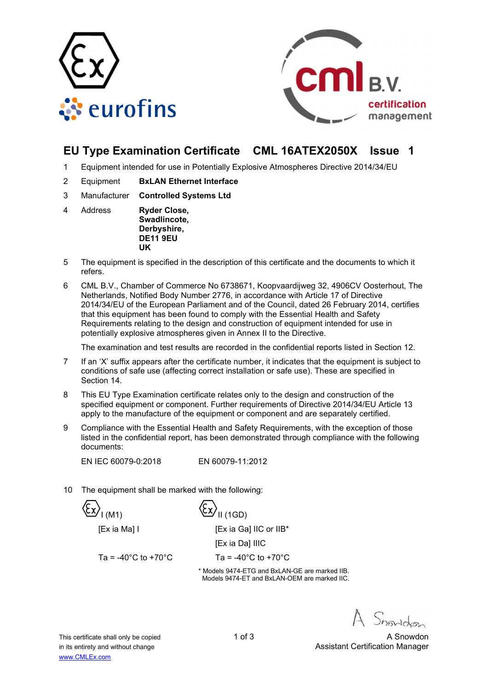



# **EU Type Examination Certificate CML 16ATEX2050X Issue 1**

- 1 Equipment intended for use in Potentially Explosive Atmospheres Directive 2014/34/EU
- 2 Equipment **BxLAN Ethernet Interface**
- 3 Manufacturer **Controlled Systems Ltd**
- 4 Address **Ryder Close, Swadlincote, Derbyshire, DE11 9EU UK**
- 5 The equipment is specified in the description of this certificate and the documents to which it refers.
- 6 CML B.V., Chamber of Commerce No 6738671, Koopvaardijweg 32, 4906CV Oosterhout, The Netherlands, Notified Body Number 2776, in accordance with Article 17 of Directive 2014/34/EU of the European Parliament and of the Council, dated 26 February 2014, certifies that this equipment has been found to comply with the Essential Health and Safety Requirements relating to the design and construction of equipment intended for use in potentially explosive atmospheres given in Annex II to the Directive.

The examination and test results are recorded in the confidential reports listed in Section 12.

- 7 If an 'X' suffix appears after the certificate number, it indicates that the equipment is subject to conditions of safe use (affecting correct installation or safe use). These are specified in Section 14.
- 8 This EU Type Examination certificate relates only to the design and construction of the specified equipment or component. Further requirements of Directive 2014/34/EU Article 13 apply to the manufacture of the equipment or component and are separately certified.
- 9 Compliance with the Essential Health and Safety Requirements, with the exception of those listed in the confidential report, has been demonstrated through compliance with the following documents:

EN IEC 60079-0:2018 EN 60079-11:2012

10 The equipment shall be marked with the following:

 $\langle \xi_{\mathbf{x}} \rangle_{\mathsf{I}(\mathsf{M1})}$   $\langle \xi_{\mathbf{x}} \rangle_{\mathsf{II}(\mathsf{1GD})}$ 



**IEx ia Dal IIIC** 

Ta =  $-40^{\circ}$ C to  $+70^{\circ}$ C Ta =  $-40^{\circ}$ C to  $+70^{\circ}$ C

\* Models 9474-ETG and BxLAN-GE are marked IIB. Models 9474-ET and BxLAN-OEM are marked IIC.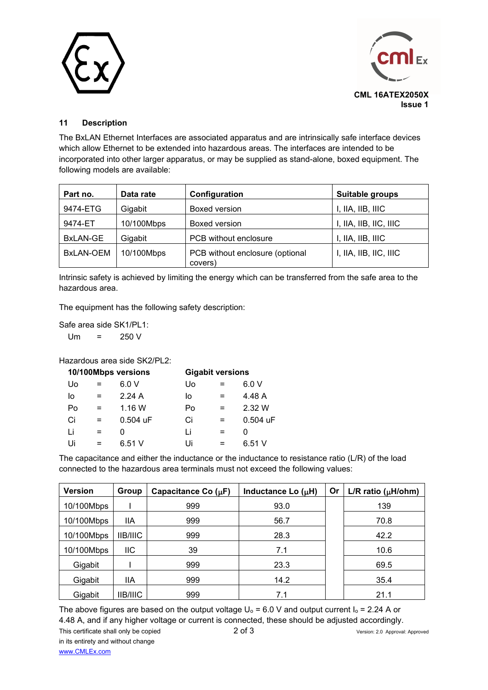



## **11 Description**

The BxLAN Ethernet Interfaces are associated apparatus and are intrinsically safe interface devices which allow Ethernet to be extended into hazardous areas. The interfaces are intended to be incorporated into other larger apparatus, or may be supplied as stand-alone, boxed equipment. The following models are available:

| Part no.         | Data rate  | Configuration                              | Suitable groups        |
|------------------|------------|--------------------------------------------|------------------------|
| 9474-ETG         | Gigabit    | Boxed version                              | I, IIA, IIB, IIIC      |
| 9474-ET          | 10/100Mbps | Boxed version                              | I, IIA, IIB, IIC, IIIC |
| BxLAN-GE         | Gigabit    | PCB without enclosure                      | I, IIA, IIB, IIIC      |
| <b>BxLAN-OEM</b> | 10/100Mbps | PCB without enclosure (optional<br>covers) | I, IIA, IIB, IIC, IIIC |

Intrinsic safety is achieved by limiting the energy which can be transferred from the safe area to the hazardous area.

The equipment has the following safety description:

Safe area side SK1/PL1:  $Um = 250 V$ 

Hazardous area side SK2/PL2:

| 10/100Mbps versions |          | <b>Gigabit versions</b> |     |          |
|---------------------|----------|-------------------------|-----|----------|
| $=$                 | 6.0V     | U٥                      |     | 6.0V     |
| $=$                 | 2.24A    | lo                      | $=$ | 4.48 A   |
| $=$                 | 1.16W    | Po                      | $=$ | 2.32 W   |
| $=$                 | 0.504 uF | Ci                      | $=$ | 0.504 uF |
| $=$                 | O        | Ιi                      | $=$ |          |
| $=$                 | 6.51V    | Ui                      |     | 6.51V    |
|                     |          |                         |     |          |

The capacitance and either the inductance or the inductance to resistance ratio (L/R) of the load connected to the hazardous area terminals must not exceed the following values:

| <b>Version</b> | Group           | Capacitance Co $(\mu F)$ | <b>Or</b><br>Inductance Lo $(\mu H)$ |  | L/R ratio ( $\mu$ H/ohm) |
|----------------|-----------------|--------------------------|--------------------------------------|--|--------------------------|
| 10/100Mbps     |                 | 999                      | 93.0                                 |  | 139                      |
| 10/100Mbps     | <b>IIA</b>      | 999                      | 56.7                                 |  | 70.8                     |
| 10/100Mbps     | <b>IIB/IIIC</b> | 999                      | 28.3                                 |  | 42.2                     |
| 10/100Mbps     | IIС             | 39                       | 7.1                                  |  | 10.6                     |
| Gigabit        |                 | 999                      | 23.3                                 |  | 69.5                     |
| Gigabit        | lia             | 999                      | 14.2                                 |  | 35.4                     |
| Gigabit        | <b>IIB/IIIC</b> | 999                      | 7.1                                  |  | 21.1                     |

This certificate shall only be copied 2 of 3 Version: 2.0 Approval: Approved The above figures are based on the output voltage  $U_0 = 6.0$  V and output current  $I_0 = 2.24$  A or 4.48 A, and if any higher voltage or current is connected, these should be adjusted accordingly.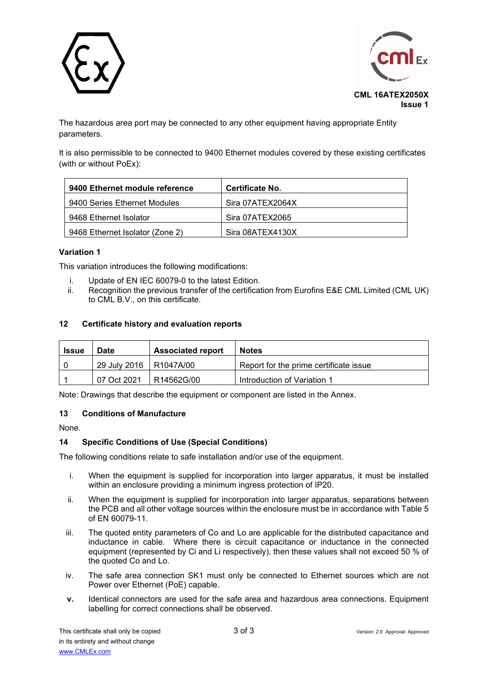



The hazardous area port may be connected to any other equipment having appropriate Entity parameters.

It is also permissible to be connected to 9400 Ethernet modules covered by these existing certificates (with or without PoEx):

| 9400 Ethernet module reference  | Certificate No.  |
|---------------------------------|------------------|
| 9400 Series Ethernet Modules    | Sira 07ATEX2064X |
| 9468 Ethernet Isolator          | Sira 07ATEX2065  |
| 9468 Ethernet Isolator (Zone 2) | Sira 08ATEX4130X |

### **Variation 1**

This variation introduces the following modifications:

- i. Update of EN IEC 60079-0 to the latest Edition.
- ii. Recognition the previous transfer of the certification from Eurofins E&E CML Limited (CML UK) to CML B.V., on this certificate.

#### **12 Certificate history and evaluation reports**

| <b>Issue</b> | <b>Associated report</b><br><b>Date</b> |            | <b>Notes</b>                           |  |
|--------------|-----------------------------------------|------------|----------------------------------------|--|
|              | 29 July 2016   R1047A/00                |            | Report for the prime certificate issue |  |
|              | 07 Oct 2021                             | R14562G/00 | Introduction of Variation 1            |  |

Note: Drawings that describe the equipment or component are listed in the Annex.

#### **13 Conditions of Manufacture**

None.

#### **14 Specific Conditions of Use (Special Conditions)**

The following conditions relate to safe installation and/or use of the equipment.

- i. When the equipment is supplied for incorporation into larger apparatus, it must be installed within an enclosure providing a minimum ingress protection of IP20.
- ii. When the equipment is supplied for incorporation into larger apparatus, separations between the PCB and all other voltage sources within the enclosure must be in accordance with Table 5 of EN 60079-11.
- iii. The quoted entity parameters of Co and Lo are applicable for the distributed capacitance and inductance in cable. Where there is circuit capacitance or inductance in the connected equipment (represented by Ci and Li respectively), then these values shall not exceed 50 % of the quoted Co and Lo.
- iv. The safe area connection SK1 must only be connected to Ethernet sources which are not Power over Ethernet (PoE) capable.
- **v.** Identical connectors are used for the safe area and hazardous area connections. Equipment labelling for correct connections shall be observed.